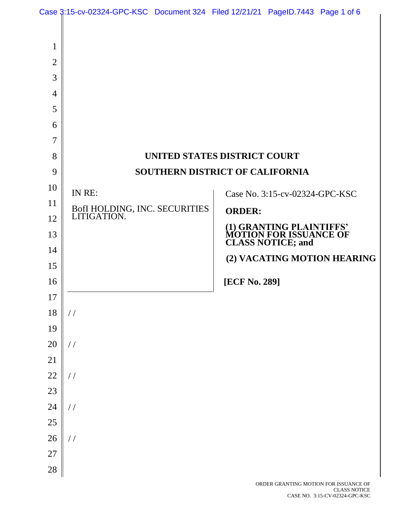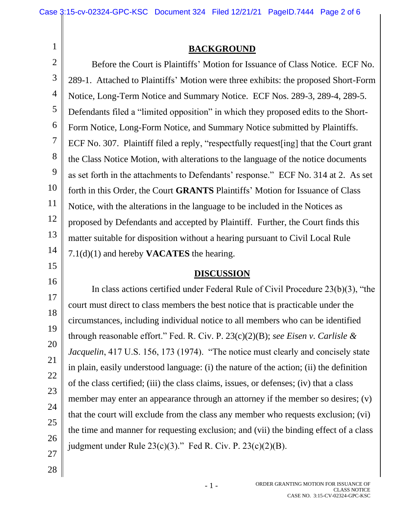## **BACKGROUND**

2 3 4 5 6 7 8 9 10 11 12 13 14 Before the Court is Plaintiffs' Motion for Issuance of Class Notice. ECF No. 289-1. Attached to Plaintiffs' Motion were three exhibits: the proposed Short-Form Notice, Long-Term Notice and Summary Notice. ECF Nos. 289-3, 289-4, 289-5. Defendants filed a "limited opposition" in which they proposed edits to the Short-Form Notice, Long-Form Notice, and Summary Notice submitted by Plaintiffs. ECF No. 307. Plaintiff filed a reply, "respectfully request[ing] that the Court grant the Class Notice Motion, with alterations to the language of the notice documents as set forth in the attachments to Defendants' response." ECF No. 314 at 2. As set forth in this Order, the Court **GRANTS** Plaintiffs' Motion for Issuance of Class Notice, with the alterations in the language to be included in the Notices as proposed by Defendants and accepted by Plaintiff. Further, the Court finds this matter suitable for disposition without a hearing pursuant to Civil Local Rule 7.1(d)(1) and hereby **VACATES** the hearing.

## **DISCUSSION**

In class actions certified under Federal Rule of Civil Procedure 23(b)(3), "the court must direct to class members the best notice that is practicable under the circumstances, including individual notice to all members who can be identified through reasonable effort." Fed. R. Civ. P. 23(c)(2)(B); *see Eisen v. Carlisle & Jacquelin*, 417 U.S. 156, 173 (1974). "The notice must clearly and concisely state in plain, easily understood language: (i) the nature of the action; (ii) the definition of the class certified; (iii) the class claims, issues, or defenses; (iv) that a class member may enter an appearance through an attorney if the member so desires; (v) that the court will exclude from the class any member who requests exclusion; (vi) the time and manner for requesting exclusion; and (vii) the binding effect of a class judgment under Rule  $23(c)(3)$ ." Fed R. Civ. P.  $23(c)(2)(B)$ .

28

27

15

16

17

18

19

20

21

22

23

24

25

26

1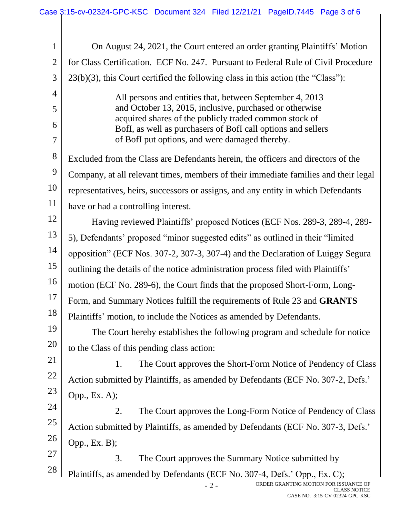| $\mathbf{1}$   | On August 24, 2021, the Court entered an order granting Plaintiffs' Motion                                                                         |
|----------------|----------------------------------------------------------------------------------------------------------------------------------------------------|
| $\overline{2}$ | for Class Certification. ECF No. 247. Pursuant to Federal Rule of Civil Procedure                                                                  |
| 3              | $23(b)(3)$ , this Court certified the following class in this action (the "Class"):                                                                |
| $\overline{4}$ | All persons and entities that, between September 4, 2013                                                                                           |
| 5              | and October 13, 2015, inclusive, purchased or otherwise                                                                                            |
| 6              | acquired shares of the publicly traded common stock of<br>BofI, as well as purchasers of BofI call options and sellers                             |
| $\overline{7}$ | of BofI put options, and were damaged thereby.                                                                                                     |
| 8              | Excluded from the Class are Defendants herein, the officers and directors of the                                                                   |
| 9              | Company, at all relevant times, members of their immediate families and their legal                                                                |
| 10             | representatives, heirs, successors or assigns, and any entity in which Defendants                                                                  |
| 11             | have or had a controlling interest.                                                                                                                |
| 12             | Having reviewed Plaintiffs' proposed Notices (ECF Nos. 289-3, 289-4, 289-                                                                          |
| 13             | 5), Defendants' proposed "minor suggested edits" as outlined in their "limited"                                                                    |
| 14             | opposition" (ECF Nos. 307-2, 307-3, 307-4) and the Declaration of Luiggy Segura                                                                    |
| 15             | outlining the details of the notice administration process filed with Plaintiffs'                                                                  |
| 16             | motion (ECF No. 289-6), the Court finds that the proposed Short-Form, Long-                                                                        |
| 17             | Form, and Summary Notices fulfill the requirements of Rule 23 and GRANTS                                                                           |
| 18             | Plaintiffs' motion, to include the Notices as amended by Defendants.                                                                               |
| 19             | The Court hereby establishes the following program and schedule for notice                                                                         |
| 20             | to the Class of this pending class action:                                                                                                         |
| 21             | The Court approves the Short-Form Notice of Pendency of Class<br>1.                                                                                |
| 22             | Action submitted by Plaintiffs, as amended by Defendants (ECF No. 307-2, Defs.'                                                                    |
| 23             | Opp., Ex. A);                                                                                                                                      |
| 24             | The Court approves the Long-Form Notice of Pendency of Class<br>2.                                                                                 |
| 25             | Action submitted by Plaintiffs, as amended by Defendants (ECF No. 307-3, Defs.'                                                                    |
| 26<br>27       | Opp., Ex. B);                                                                                                                                      |
| 28             | 3.<br>The Court approves the Summary Notice submitted by                                                                                           |
|                | Plaintiffs, as amended by Defendants (ECF No. 307-4, Defs.' Opp., Ex. C);<br>ORDER GRANTING MOTION FOR ISSUANCE OF<br>$-2-$<br><b>CLASS NOTICE</b> |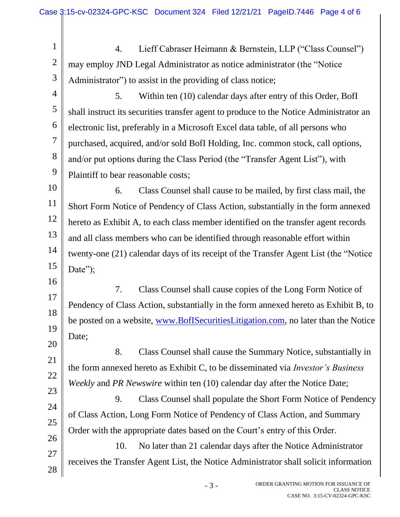1 2 3 4 5 6 7 8 9 10 11 12 13 14 15 16 17 18 19 20 21 22 23 24 25 26 27 28 4. Lieff Cabraser Heimann & Bernstein, LLP ("Class Counsel") may employ JND Legal Administrator as notice administrator (the "Notice Administrator") to assist in the providing of class notice; 5. Within ten (10) calendar days after entry of this Order, BofI shall instruct its securities transfer agent to produce to the Notice Administrator an electronic list, preferably in a Microsoft Excel data table, of all persons who purchased, acquired, and/or sold BofI Holding, Inc. common stock, call options, and/or put options during the Class Period (the "Transfer Agent List"), with Plaintiff to bear reasonable costs; 6. Class Counsel shall cause to be mailed, by first class mail, the Short Form Notice of Pendency of Class Action, substantially in the form annexed hereto as Exhibit A, to each class member identified on the transfer agent records and all class members who can be identified through reasonable effort within twenty-one (21) calendar days of its receipt of the Transfer Agent List (the "Notice Date"; 7. Class Counsel shall cause copies of the Long Form Notice of Pendency of Class Action, substantially in the form annexed hereto as Exhibit B, to be posted on a website, www.BofISecuritiesLitigation.com, no later than the Notice Date; 8. Class Counsel shall cause the Summary Notice, substantially in the form annexed hereto as Exhibit C, to be disseminated via *Investor's Business Weekly* and *PR Newswire* within ten (10) calendar day after the Notice Date; 9. Class Counsel shall populate the Short Form Notice of Pendency of Class Action, Long Form Notice of Pendency of Class Action, and Summary Order with the appropriate dates based on the Court's entry of this Order. 10. No later than 21 calendar days after the Notice Administrator receives the Transfer Agent List, the Notice Administrator shall solicit information

- 3 -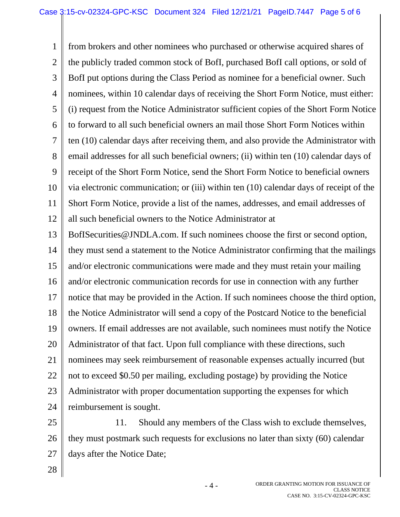1 2 3 4 5 6 7 8 9 10 11 12 from brokers and other nominees who purchased or otherwise acquired shares of the publicly traded common stock of BofI, purchased BofI call options, or sold of BofI put options during the Class Period as nominee for a beneficial owner. Such nominees, within 10 calendar days of receiving the Short Form Notice, must either: (i) request from the Notice Administrator sufficient copies of the Short Form Notice to forward to all such beneficial owners an mail those Short Form Notices within ten (10) calendar days after receiving them, and also provide the Administrator with email addresses for all such beneficial owners; (ii) within ten (10) calendar days of receipt of the Short Form Notice, send the Short Form Notice to beneficial owners via electronic communication; or (iii) within ten (10) calendar days of receipt of the Short Form Notice, provide a list of the names, addresses, and email addresses of all such beneficial owners to the Notice Administrator at

13 14 15 16 17 18 19 20 21 22 23 24 BofISecurities@JNDLA.com. If such nominees choose the first or second option, they must send a statement to the Notice Administrator confirming that the mailings and/or electronic communications were made and they must retain your mailing and/or electronic communication records for use in connection with any further notice that may be provided in the Action. If such nominees choose the third option, the Notice Administrator will send a copy of the Postcard Notice to the beneficial owners. If email addresses are not available, such nominees must notify the Notice Administrator of that fact. Upon full compliance with these directions, such nominees may seek reimbursement of reasonable expenses actually incurred (but not to exceed \$0.50 per mailing, excluding postage) by providing the Notice Administrator with proper documentation supporting the expenses for which reimbursement is sought.

25 26 27 11. Should any members of the Class wish to exclude themselves, they must postmark such requests for exclusions no later than sixty (60) calendar days after the Notice Date;

- 4 -

28